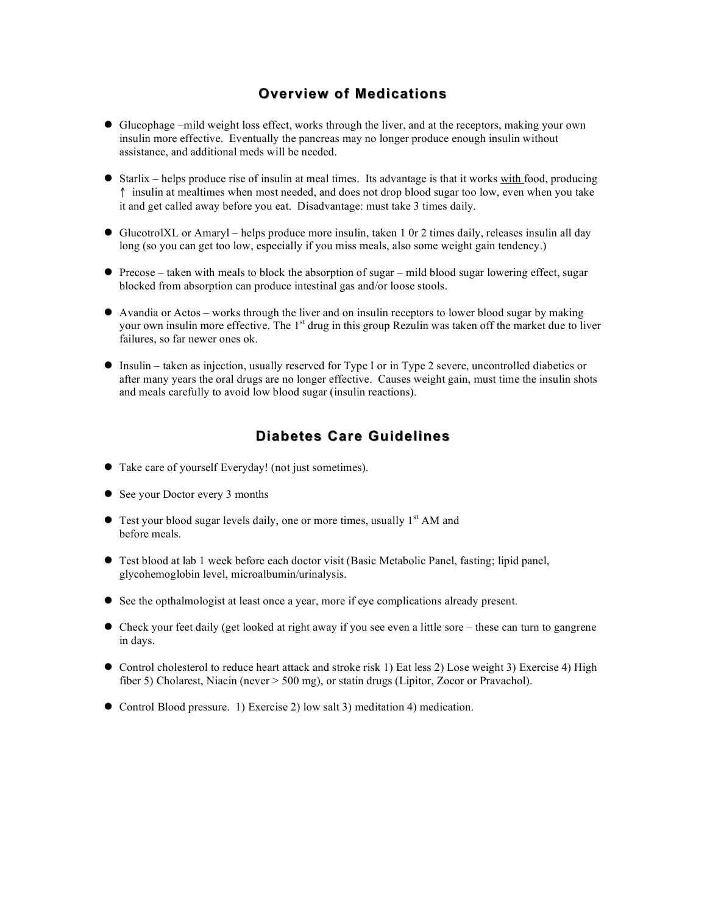## **Overview of Medications**

- Glucophage –mild weight loss effect, works through the liver, and at the receptors, making your own insulin more effective. Eventually the pancreas may no longer produce enough insulin without assistance, and additional meds will be needed.
- $\bullet$  Starlix helps produce rise of insulin at meal times. Its advantage is that it works with food, producing ↑ insulin at mealtimes when most needed, and does not drop blood sugar too low, even when you take it and get called away before you eat. Disadvantage: must take 3 times daily.
- GlucotrolXL or Amaryl helps produce more insulin, taken 1 0r 2 times daily, releases insulin all day long (so you can get too low, especially if you miss meals, also some weight gain tendency.)
- Precose taken with meals to block the absorption of sugar mild blood sugar lowering effect, sugar blocked from absorption can produce intestinal gas and/or loose stools.
- Avandia or Actos works through the liver and on insulin receptors to lower blood sugar by making your own insulin more effective. The 1<sup>st</sup> drug in this group Rezulin was taken off the market due to liver failures, so far newer ones ok.
- Insulin taken as injection, usually reserved for Type I or in Type 2 severe, uncontrolled diabetics or after many years the oral drugs are no longer effective. Causes weight gain, must time the insulin shots and meals carefully to avoid low blood sugar (insulin reactions).

## **Diabetes Care Guidelines**

- Take care of yourself Everyday! (not just sometimes).
- See your Doctor every 3 months
- $\bullet$  Test your blood sugar levels daily, one or more times, usually  $1<sup>st</sup>$  AM and before meals.
- Test blood at lab 1 week before each doctor visit (Basic Metabolic Panel, fasting; lipid panel, glycohemoglobin level, microalbumin/urinalysis.
- See the opthalmologist at least once a year, more if eye complications already present.
- Check your feet daily (get looked at right away if you see even a little sore these can turn to gangrene in days.
- Control cholesterol to reduce heart attack and stroke risk 1) Eat less 2) Lose weight 3) Exercise 4) High fiber 5) Cholarest, Niacin (never > 500 mg), or statin drugs (Lipitor, Zocor or Pravachol).
- Control Blood pressure. 1) Exercise 2) low salt 3) meditation 4) medication.